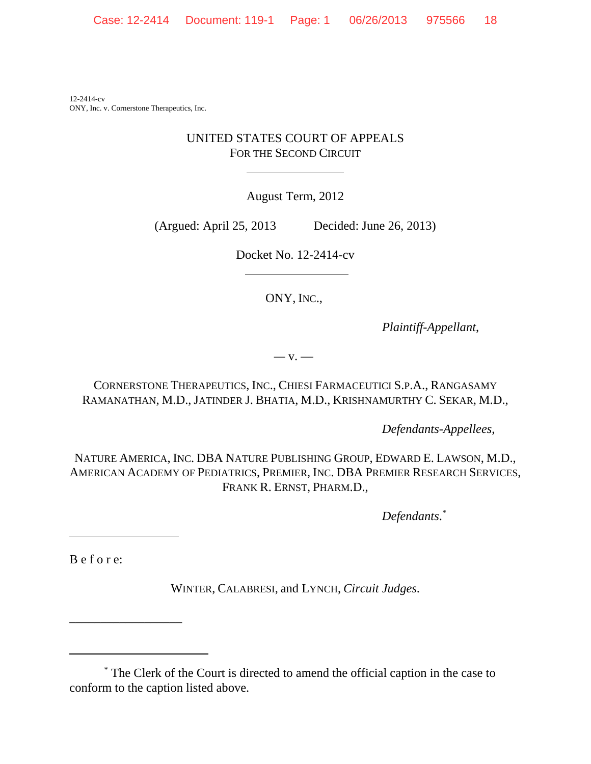12-2414-cv ONY, Inc. v. Cornerstone Therapeutics, Inc.

## UNITED STATES COURT OF APPEALS FOR THE SECOND CIRCUIT

 $\overline{a}$ 

August Term, 2012

(Argued: April 25, 2013 Decided: June 26, 2013)

Docket No. 12-2414-cv

ONY, INC.,

*Plaintiff-Appellant*,

*—* v. —

CORNERSTONE THERAPEUTICS, INC., CHIESI FARMACEUTICI S.P.A., RANGASAMY RAMANATHAN, M.D., JATINDER J. BHATIA, M.D., KRISHNAMURTHY C. SEKAR, M.D.,

*Defendants-Appellees*,

NATURE AMERICA, INC. DBA NATURE PUBLISHING GROUP, EDWARD E. LAWSON, M.D., AMERICAN ACADEMY OF PEDIATRICS, PREMIER, INC. DBA PREMIER RESEARCH SERVICES, FRANK R. ERNST, PHARM.D.,

*Defendants*. *\**

B e f o r e:

\_\_\_\_\_\_\_\_\_\_\_\_\_\_\_\_\_\_

l

WINTER, CALABRESI, and LYNCH, *Circuit Judges*.

\* The Clerk of the Court is directed to amend the official caption in the case to conform to the caption listed above.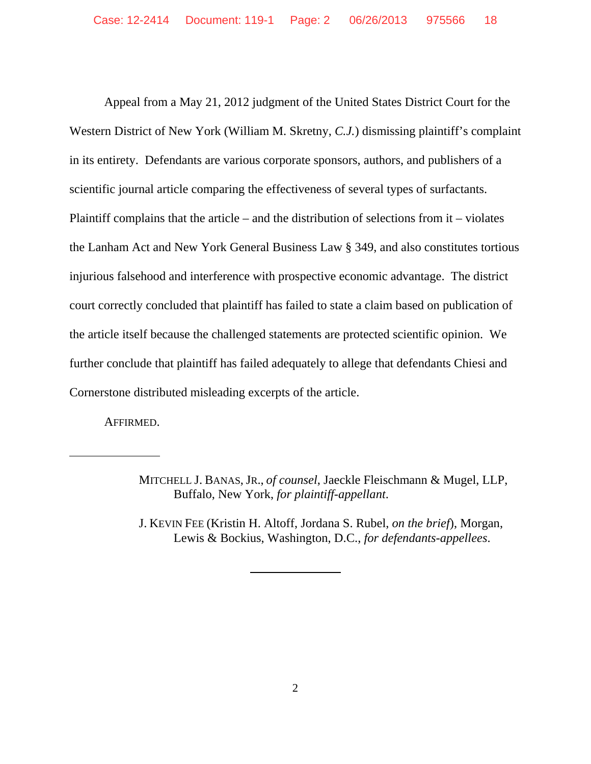Appeal from a May 21, 2012 judgment of the United States District Court for the Western District of New York (William M. Skretny, *C.J.*) dismissing plaintiff's complaint in its entirety. Defendants are various corporate sponsors, authors, and publishers of a scientific journal article comparing the effectiveness of several types of surfactants. Plaintiff complains that the article – and the distribution of selections from it – violates the Lanham Act and New York General Business Law § 349, and also constitutes tortious injurious falsehood and interference with prospective economic advantage. The district court correctly concluded that plaintiff has failed to state a claim based on publication of the article itself because the challenged statements are protected scientific opinion. We further conclude that plaintiff has failed adequately to allege that defendants Chiesi and Cornerstone distributed misleading excerpts of the article.

AFFIRMED.

 $\overline{a}$ 

J. KEVIN FEE (Kristin H. Altoff, Jordana S. Rubel, *on the brief*), Morgan, Lewis & Bockius, Washington, D.C., *for defendants-appellees*.

 $\overline{a}$ 

MITCHELL J. BANAS, JR., *of counsel*, Jaeckle Fleischmann & Mugel, LLP, Buffalo, New York, *for plaintiff-appellant*.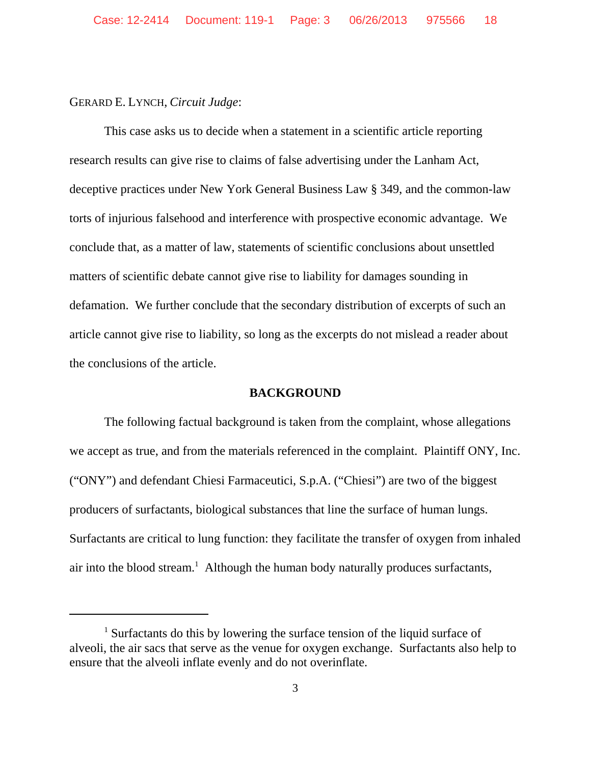## GERARD E. LYNCH, *Circuit Judge*:

This case asks us to decide when a statement in a scientific article reporting research results can give rise to claims of false advertising under the Lanham Act, deceptive practices under New York General Business Law § 349, and the common-law torts of injurious falsehood and interference with prospective economic advantage. We conclude that, as a matter of law, statements of scientific conclusions about unsettled matters of scientific debate cannot give rise to liability for damages sounding in defamation. We further conclude that the secondary distribution of excerpts of such an article cannot give rise to liability, so long as the excerpts do not mislead a reader about the conclusions of the article.

#### **BACKGROUND**

The following factual background is taken from the complaint, whose allegations we accept as true, and from the materials referenced in the complaint. Plaintiff ONY, Inc. ("ONY") and defendant Chiesi Farmaceutici, S.p.A. ("Chiesi") are two of the biggest producers of surfactants, biological substances that line the surface of human lungs. Surfactants are critical to lung function: they facilitate the transfer of oxygen from inhaled air into the blood stream.<sup>1</sup> Although the human body naturally produces surfactants,

<sup>&</sup>lt;sup>1</sup> Surfactants do this by lowering the surface tension of the liquid surface of alveoli, the air sacs that serve as the venue for oxygen exchange. Surfactants also help to ensure that the alveoli inflate evenly and do not overinflate.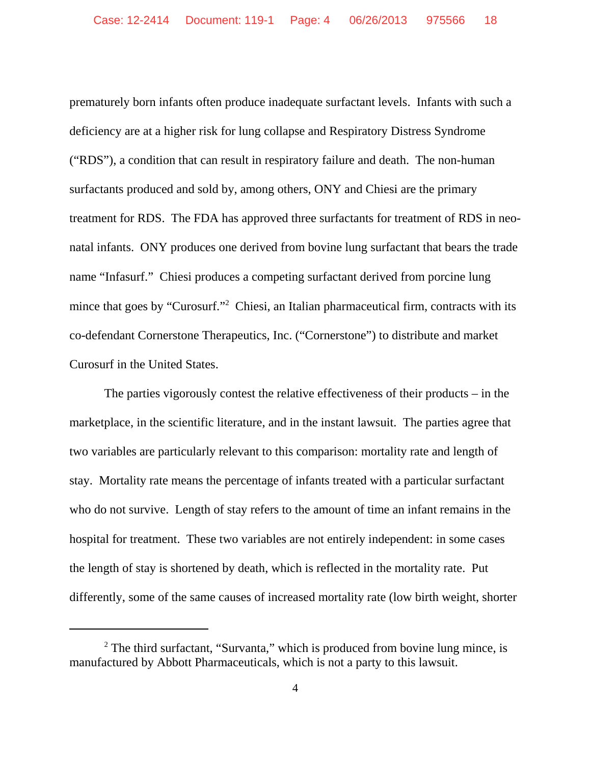prematurely born infants often produce inadequate surfactant levels. Infants with such a deficiency are at a higher risk for lung collapse and Respiratory Distress Syndrome ("RDS"), a condition that can result in respiratory failure and death. The non-human surfactants produced and sold by, among others, ONY and Chiesi are the primary treatment for RDS. The FDA has approved three surfactants for treatment of RDS in neonatal infants. ONY produces one derived from bovine lung surfactant that bears the trade name "Infasurf." Chiesi produces a competing surfactant derived from porcine lung mince that goes by "Curosurf."<sup>2</sup> Chiesi, an Italian pharmaceutical firm, contracts with its co-defendant Cornerstone Therapeutics, Inc. ("Cornerstone") to distribute and market Curosurf in the United States.

The parties vigorously contest the relative effectiveness of their products – in the marketplace, in the scientific literature, and in the instant lawsuit. The parties agree that two variables are particularly relevant to this comparison: mortality rate and length of stay. Mortality rate means the percentage of infants treated with a particular surfactant who do not survive. Length of stay refers to the amount of time an infant remains in the hospital for treatment. These two variables are not entirely independent: in some cases the length of stay is shortened by death, which is reflected in the mortality rate. Put differently, some of the same causes of increased mortality rate (low birth weight, shorter

<sup>&</sup>lt;sup>2</sup> The third surfactant, "Survanta," which is produced from bovine lung mince, is manufactured by Abbott Pharmaceuticals, which is not a party to this lawsuit.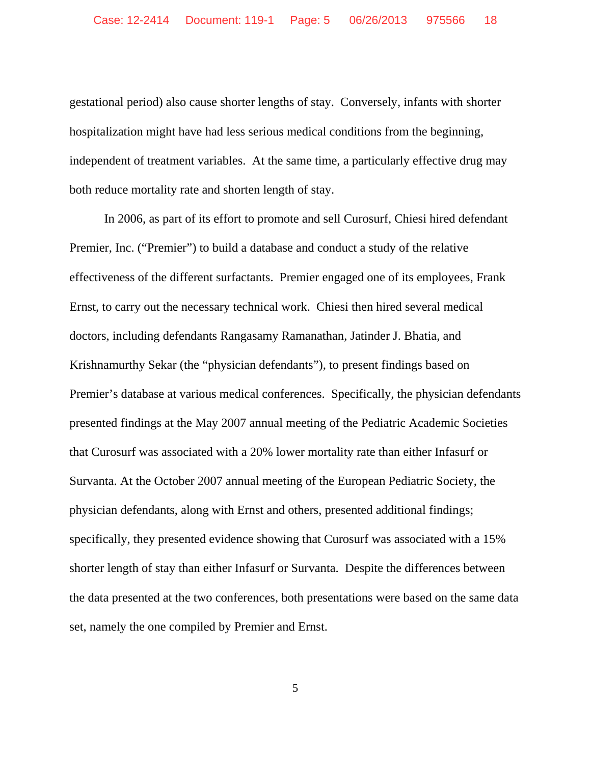gestational period) also cause shorter lengths of stay. Conversely, infants with shorter hospitalization might have had less serious medical conditions from the beginning, independent of treatment variables. At the same time, a particularly effective drug may both reduce mortality rate and shorten length of stay.

In 2006, as part of its effort to promote and sell Curosurf, Chiesi hired defendant Premier, Inc. ("Premier") to build a database and conduct a study of the relative effectiveness of the different surfactants. Premier engaged one of its employees, Frank Ernst, to carry out the necessary technical work. Chiesi then hired several medical doctors, including defendants Rangasamy Ramanathan, Jatinder J. Bhatia, and Krishnamurthy Sekar (the "physician defendants"), to present findings based on Premier's database at various medical conferences. Specifically, the physician defendants presented findings at the May 2007 annual meeting of the Pediatric Academic Societies that Curosurf was associated with a 20% lower mortality rate than either Infasurf or Survanta. At the October 2007 annual meeting of the European Pediatric Society, the physician defendants, along with Ernst and others, presented additional findings; specifically, they presented evidence showing that Curosurf was associated with a 15% shorter length of stay than either Infasurf or Survanta. Despite the differences between the data presented at the two conferences, both presentations were based on the same data set, namely the one compiled by Premier and Ernst.

5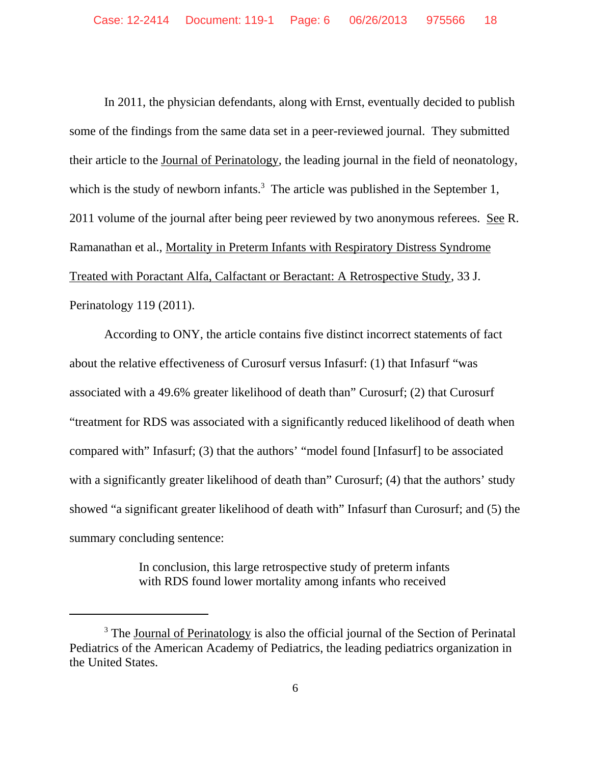In 2011, the physician defendants, along with Ernst, eventually decided to publish some of the findings from the same data set in a peer-reviewed journal. They submitted their article to the Journal of Perinatology, the leading journal in the field of neonatology, which is the study of newborn infants.<sup>3</sup> The article was published in the September 1, 2011 volume of the journal after being peer reviewed by two anonymous referees. See R. Ramanathan et al., Mortality in Preterm Infants with Respiratory Distress Syndrome Treated with Poractant Alfa, Calfactant or Beractant: A Retrospective Study, 33 J. Perinatology 119 (2011).

According to ONY, the article contains five distinct incorrect statements of fact about the relative effectiveness of Curosurf versus Infasurf: (1) that Infasurf "was associated with a 49.6% greater likelihood of death than" Curosurf; (2) that Curosurf "treatment for RDS was associated with a significantly reduced likelihood of death when compared with" Infasurf; (3) that the authors' "model found [Infasurf] to be associated with a significantly greater likelihood of death than" Curosurf; (4) that the authors' study showed "a significant greater likelihood of death with" Infasurf than Curosurf; and (5) the summary concluding sentence:

> In conclusion, this large retrospective study of preterm infants with RDS found lower mortality among infants who received

<sup>&</sup>lt;sup>3</sup> The Journal of Perinatology is also the official journal of the Section of Perinatal Pediatrics of the American Academy of Pediatrics, the leading pediatrics organization in the United States.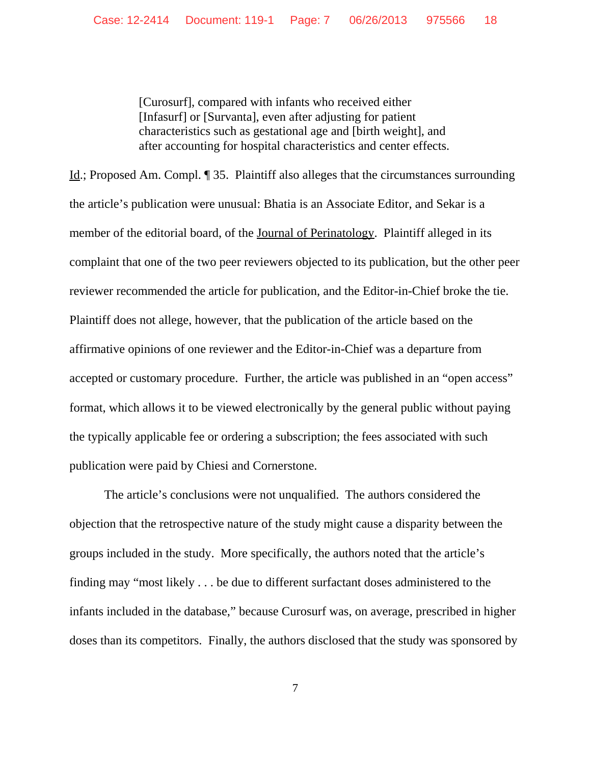[Curosurf], compared with infants who received either [Infasurf] or [Survanta], even after adjusting for patient characteristics such as gestational age and [birth weight], and after accounting for hospital characteristics and center effects.

Id.; Proposed Am. Compl. ¶ 35. Plaintiff also alleges that the circumstances surrounding the article's publication were unusual: Bhatia is an Associate Editor, and Sekar is a member of the editorial board, of the Journal of Perinatology. Plaintiff alleged in its complaint that one of the two peer reviewers objected to its publication, but the other peer reviewer recommended the article for publication, and the Editor-in-Chief broke the tie. Plaintiff does not allege, however, that the publication of the article based on the affirmative opinions of one reviewer and the Editor-in-Chief was a departure from accepted or customary procedure. Further, the article was published in an "open access" format, which allows it to be viewed electronically by the general public without paying the typically applicable fee or ordering a subscription; the fees associated with such publication were paid by Chiesi and Cornerstone.

The article's conclusions were not unqualified. The authors considered the objection that the retrospective nature of the study might cause a disparity between the groups included in the study. More specifically, the authors noted that the article's finding may "most likely . . . be due to different surfactant doses administered to the infants included in the database," because Curosurf was, on average, prescribed in higher doses than its competitors. Finally, the authors disclosed that the study was sponsored by

7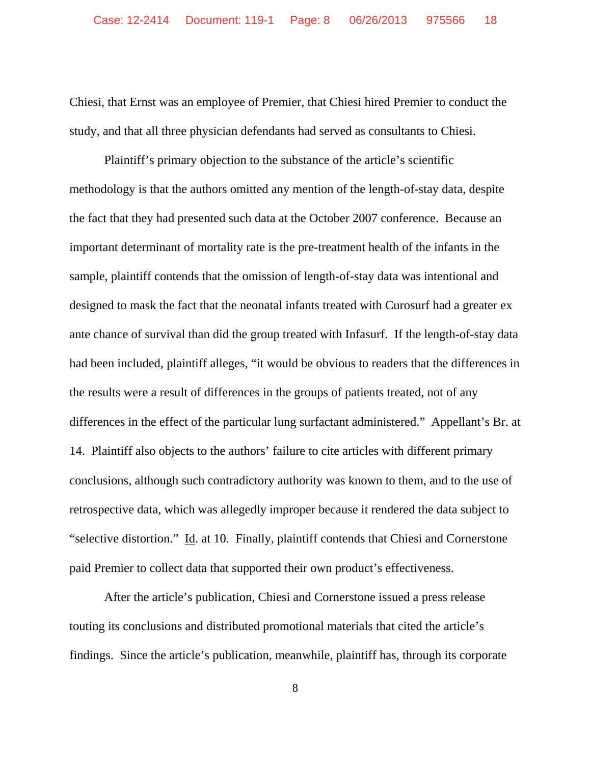Chiesi, that Ernst was an employee of Premier, that Chiesi hired Premier to conduct the study, and that all three physician defendants had served as consultants to Chiesi.

Plaintiff's primary objection to the substance of the article's scientific methodology is that the authors omitted any mention of the length-of-stay data, despite the fact that they had presented such data at the October 2007 conference. Because an important determinant of mortality rate is the pre-treatment health of the infants in the sample, plaintiff contends that the omission of length-of-stay data was intentional and designed to mask the fact that the neonatal infants treated with Curosurf had a greater ex ante chance of survival than did the group treated with Infasurf. If the length-of-stay data had been included, plaintiff alleges, "it would be obvious to readers that the differences in the results were a result of differences in the groups of patients treated, not of any differences in the effect of the particular lung surfactant administered." Appellant's Br. at 14.Plaintiff also objects to the authors' failure to cite articles with different primary conclusions, although such contradictory authority was known to them, and to the use of retrospective data, which was allegedly improper because it rendered the data subject to "selective distortion."Id. at 10. Finally, plaintiff contends that Chiesi and Cornerstone paid Premier to collect data that supported their own product's effectiveness.

After the article's publication, Chiesi and Cornerstone issued a press release touting its conclusions and distributed promotional materials that cited the article's findings. Since the article's publication, meanwhile, plaintiff has, through its corporate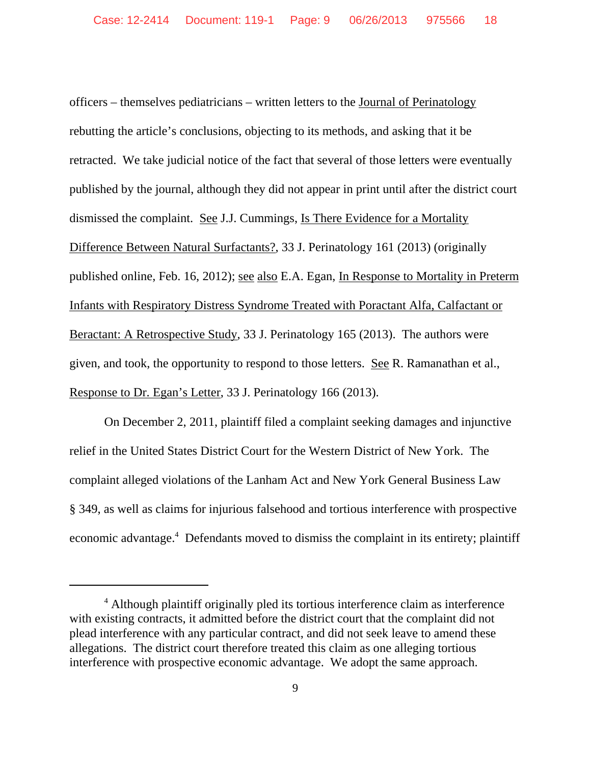officers – themselves pediatricians – written letters to the Journal of Perinatology rebutting the article's conclusions, objecting to its methods, and asking that it be retracted. We take judicial notice of the fact that several of those letters were eventually published by the journal, although they did not appear in print until after the district court dismissed the complaint. See J.J. Cummings, Is There Evidence for a Mortality Difference Between Natural Surfactants?, 33 J. Perinatology 161 (2013) (originally published online, Feb. 16, 2012); see also E.A. Egan, In Response to Mortality in Preterm Infants with Respiratory Distress Syndrome Treated with Poractant Alfa, Calfactant or Beractant: A Retrospective Study, 33 J. Perinatology 165 (2013). The authors were given, and took, the opportunity to respond to those letters. See R. Ramanathan et al., Response to Dr. Egan's Letter, 33 J. Perinatology 166 (2013).

On December 2, 2011, plaintiff filed a complaint seeking damages and injunctive relief in the United States District Court for the Western District of New York. The complaint alleged violations of the Lanham Act and New York General Business Law § 349, as well as claims for injurious falsehood and tortious interference with prospective economic advantage.<sup>4</sup> Defendants moved to dismiss the complaint in its entirety; plaintiff

<sup>&</sup>lt;sup>4</sup> Although plaintiff originally pled its tortious interference claim as interference with existing contracts, it admitted before the district court that the complaint did not plead interference with any particular contract, and did not seek leave to amend these allegations. The district court therefore treated this claim as one alleging tortious interference with prospective economic advantage. We adopt the same approach.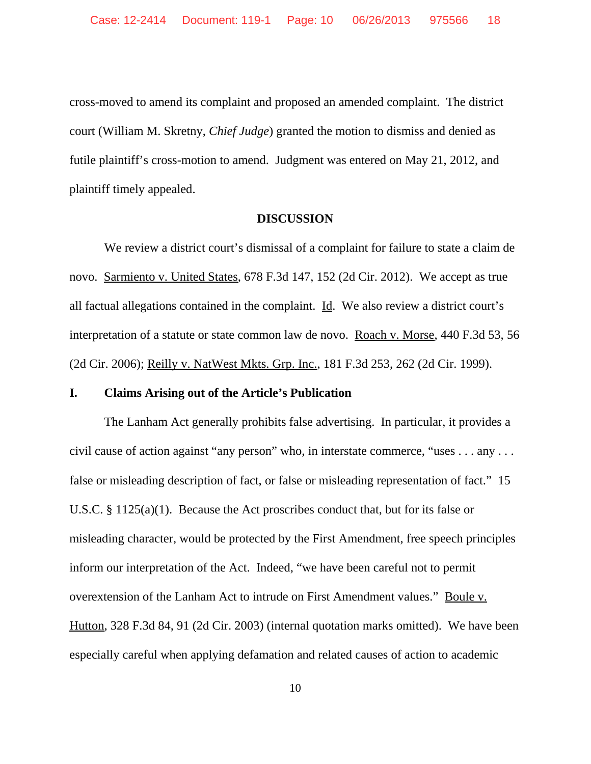cross-moved to amend its complaint and proposed an amended complaint. The district court (William M. Skretny, *Chief Judge*) granted the motion to dismiss and denied as futile plaintiff's cross-motion to amend. Judgment was entered on May 21, 2012, and plaintiff timely appealed.

#### **DISCUSSION**

We review a district court's dismissal of a complaint for failure to state a claim de novo. Sarmiento v. United States, 678 F.3d 147, 152 (2d Cir. 2012). We accept as true all factual allegations contained in the complaint. Id. We also review a district court's interpretation of a statute or state common law de novo. Roach v. Morse, 440 F.3d 53, 56 (2d Cir. 2006); Reilly v. NatWest Mkts. Grp. Inc., 181 F.3d 253, 262 (2d Cir. 1999).

### **I. Claims Arising out of the Article's Publication**

The Lanham Act generally prohibits false advertising. In particular, it provides a civil cause of action against "any person" who, in interstate commerce, "uses . . . any . . . false or misleading description of fact, or false or misleading representation of fact." 15 U.S.C. § 1125(a)(1). Because the Act proscribes conduct that, but for its false or misleading character, would be protected by the First Amendment, free speech principles inform our interpretation of the Act. Indeed, "we have been careful not to permit overextension of the Lanham Act to intrude on First Amendment values." Boule v. Hutton, 328 F.3d 84, 91 (2d Cir. 2003) (internal quotation marks omitted). We have been especially careful when applying defamation and related causes of action to academic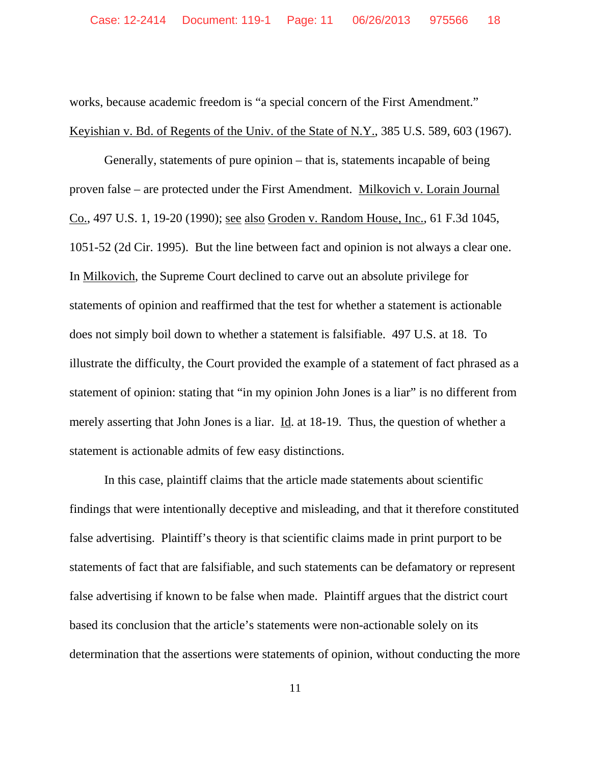works, because academic freedom is "a special concern of the First Amendment." Keyishian v. Bd. of Regents of the Univ. of the State of N.Y., 385 U.S. 589, 603 (1967).

Generally, statements of pure opinion – that is, statements incapable of being proven false – are protected under the First Amendment. Milkovich v. Lorain Journal Co., 497 U.S. 1, 19-20 (1990); see also Groden v. Random House, Inc., 61 F.3d 1045, 1051-52 (2d Cir. 1995). But the line between fact and opinion is not always a clear one. In Milkovich, the Supreme Court declined to carve out an absolute privilege for statements of opinion and reaffirmed that the test for whether a statement is actionable does not simply boil down to whether a statement is falsifiable. 497 U.S. at 18. To illustrate the difficulty, the Court provided the example of a statement of fact phrased as a statement of opinion: stating that "in my opinion John Jones is a liar" is no different from merely asserting that John Jones is a liar. Id. at 18-19. Thus, the question of whether a statement is actionable admits of few easy distinctions.

In this case, plaintiff claims that the article made statements about scientific findings that were intentionally deceptive and misleading, and that it therefore constituted false advertising. Plaintiff's theory is that scientific claims made in print purport to be statements of fact that are falsifiable, and such statements can be defamatory or represent false advertising if known to be false when made. Plaintiff argues that the district court based its conclusion that the article's statements were non-actionable solely on its determination that the assertions were statements of opinion, without conducting the more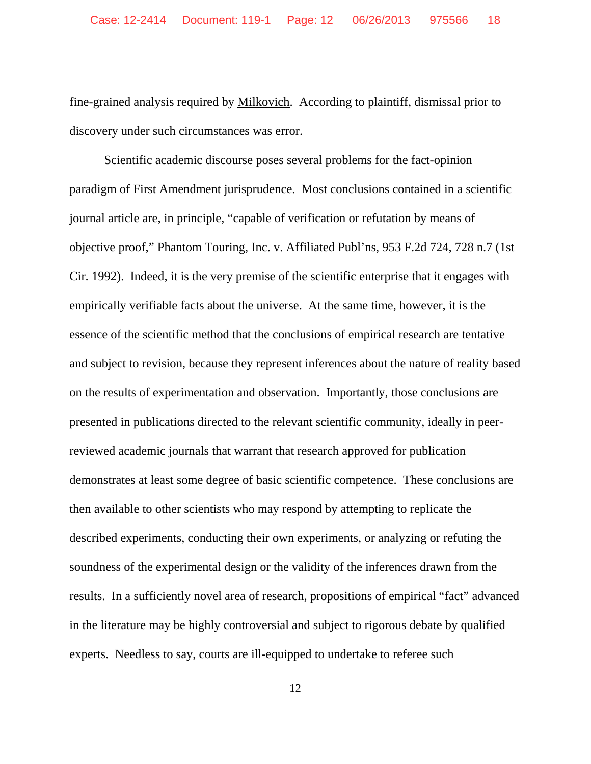fine-grained analysis required by Milkovich. According to plaintiff, dismissal prior to discovery under such circumstances was error.

Scientific academic discourse poses several problems for the fact-opinion paradigm of First Amendment jurisprudence. Most conclusions contained in a scientific journal article are, in principle, "capable of verification or refutation by means of objective proof," Phantom Touring, Inc. v. Affiliated Publ'ns, 953 F.2d 724, 728 n.7 (1st Cir. 1992). Indeed, it is the very premise of the scientific enterprise that it engages with empirically verifiable facts about the universe. At the same time, however, it is the essence of the scientific method that the conclusions of empirical research are tentative and subject to revision, because they represent inferences about the nature of reality based on the results of experimentation and observation. Importantly, those conclusions are presented in publications directed to the relevant scientific community, ideally in peerreviewed academic journals that warrant that research approved for publication demonstrates at least some degree of basic scientific competence. These conclusions are then available to other scientists who may respond by attempting to replicate the described experiments, conducting their own experiments, or analyzing or refuting the soundness of the experimental design or the validity of the inferences drawn from the results. In a sufficiently novel area of research, propositions of empirical "fact" advanced in the literature may be highly controversial and subject to rigorous debate by qualified experts. Needless to say, courts are ill-equipped to undertake to referee such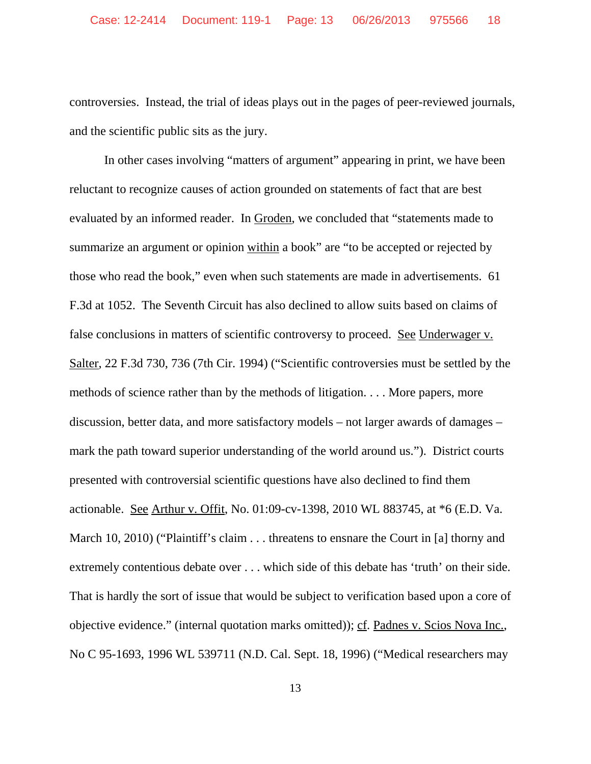controversies. Instead, the trial of ideas plays out in the pages of peer-reviewed journals, and the scientific public sits as the jury.

In other cases involving "matters of argument" appearing in print, we have been reluctant to recognize causes of action grounded on statements of fact that are best evaluated by an informed reader. In Groden, we concluded that "statements made to summarize an argument or opinion within a book" are "to be accepted or rejected by those who read the book," even when such statements are made in advertisements. 61 F.3d at 1052. The Seventh Circuit has also declined to allow suits based on claims of false conclusions in matters of scientific controversy to proceed. See Underwager v. Salter, 22 F.3d 730, 736 (7th Cir. 1994) ("Scientific controversies must be settled by the methods of science rather than by the methods of litigation. . . . More papers, more discussion, better data, and more satisfactory models – not larger awards of damages – mark the path toward superior understanding of the world around us."). District courts presented with controversial scientific questions have also declined to find them actionable. See Arthur v. Offit, No. 01:09-cv-1398, 2010 WL 883745, at \*6 (E.D. Va. March 10, 2010) ("Plaintiff's claim . . . threatens to ensnare the Court in [a] thorny and extremely contentious debate over . . . which side of this debate has 'truth' on their side. That is hardly the sort of issue that would be subject to verification based upon a core of objective evidence." (internal quotation marks omitted)); cf. Padnes v. Scios Nova Inc., No C 95-1693, 1996 WL 539711 (N.D. Cal. Sept. 18, 1996) ("Medical researchers may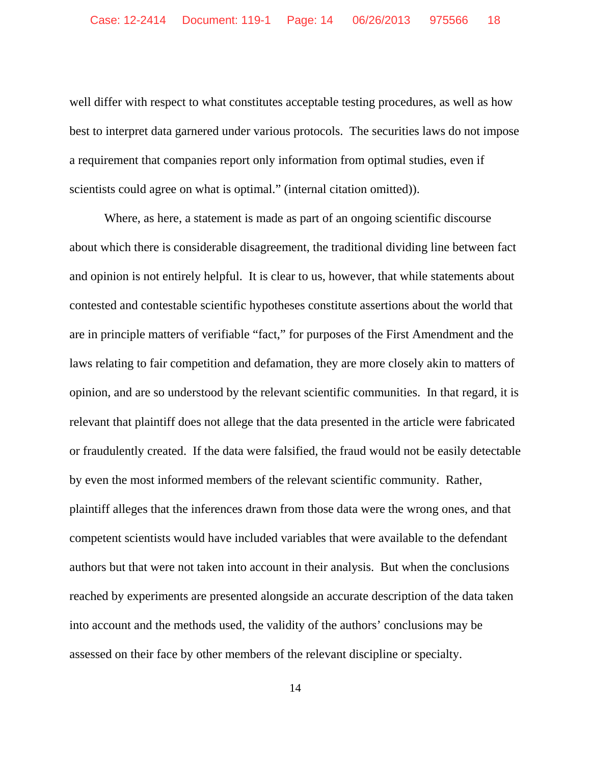well differ with respect to what constitutes acceptable testing procedures, as well as how best to interpret data garnered under various protocols. The securities laws do not impose a requirement that companies report only information from optimal studies, even if scientists could agree on what is optimal." (internal citation omitted)).

Where, as here, a statement is made as part of an ongoing scientific discourse about which there is considerable disagreement, the traditional dividing line between fact and opinion is not entirely helpful. It is clear to us, however, that while statements about contested and contestable scientific hypotheses constitute assertions about the world that are in principle matters of verifiable "fact," for purposes of the First Amendment and the laws relating to fair competition and defamation, they are more closely akin to matters of opinion, and are so understood by the relevant scientific communities. In that regard, it is relevant that plaintiff does not allege that the data presented in the article were fabricated or fraudulently created. If the data were falsified, the fraud would not be easily detectable by even the most informed members of the relevant scientific community. Rather, plaintiff alleges that the inferences drawn from those data were the wrong ones, and that competent scientists would have included variables that were available to the defendant authors but that were not taken into account in their analysis. But when the conclusions reached by experiments are presented alongside an accurate description of the data taken into account and the methods used, the validity of the authors' conclusions may be assessed on their face by other members of the relevant discipline or specialty.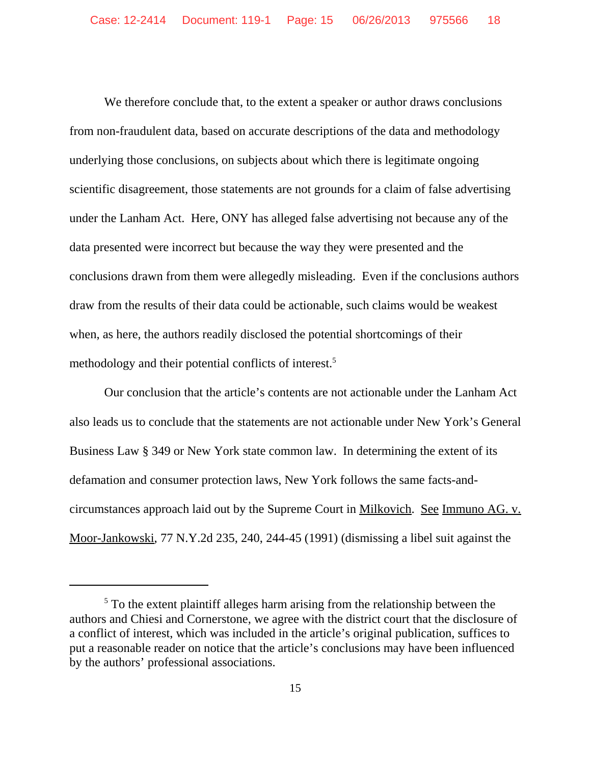We therefore conclude that, to the extent a speaker or author draws conclusions from non-fraudulent data, based on accurate descriptions of the data and methodology underlying those conclusions, on subjects about which there is legitimate ongoing scientific disagreement, those statements are not grounds for a claim of false advertising under the Lanham Act. Here, ONY has alleged false advertising not because any of the data presented were incorrect but because the way they were presented and the conclusions drawn from them were allegedly misleading. Even if the conclusions authors draw from the results of their data could be actionable, such claims would be weakest when, as here, the authors readily disclosed the potential shortcomings of their methodology and their potential conflicts of interest.<sup>5</sup>

Our conclusion that the article's contents are not actionable under the Lanham Act also leads us to conclude that the statements are not actionable under New York's General Business Law § 349 or New York state common law. In determining the extent of its defamation and consumer protection laws, New York follows the same facts-andcircumstances approach laid out by the Supreme Court in Milkovich. See Immuno AG. v. Moor-Jankowski, 77 N.Y.2d 235, 240, 244-45 (1991) (dismissing a libel suit against the

 $<sup>5</sup>$  To the extent plaintiff alleges harm arising from the relationship between the</sup> authors and Chiesi and Cornerstone, we agree with the district court that the disclosure of a conflict of interest, which was included in the article's original publication, suffices to put a reasonable reader on notice that the article's conclusions may have been influenced by the authors' professional associations.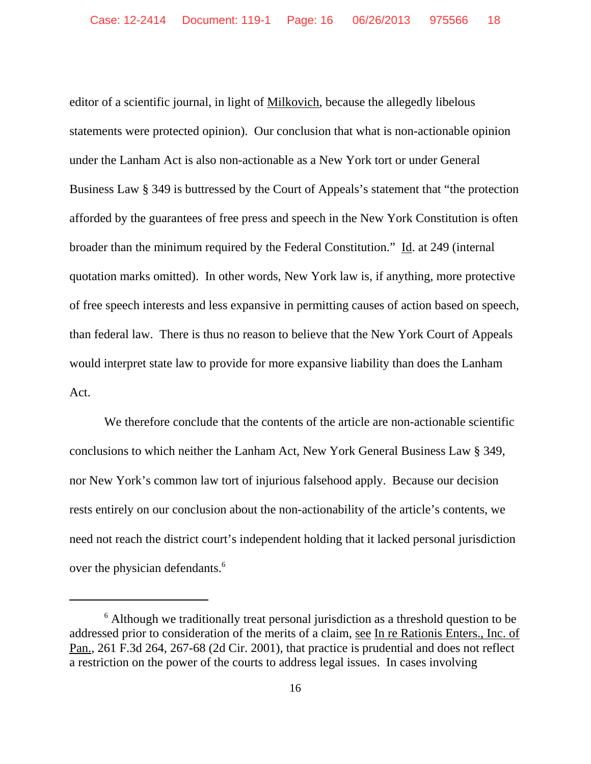editor of a scientific journal, in light of Milkovich, because the allegedly libelous statements were protected opinion). Our conclusion that what is non-actionable opinion under the Lanham Act is also non-actionable as a New York tort or under General Business Law § 349 is buttressed by the Court of Appeals's statement that "the protection afforded by the guarantees of free press and speech in the New York Constitution is often broader than the minimum required by the Federal Constitution."  $\underline{Id}$ . at 249 (internal quotation marks omitted). In other words, New York law is, if anything, more protective of free speech interests and less expansive in permitting causes of action based on speech, than federal law. There is thus no reason to believe that the New York Court of Appeals would interpret state law to provide for more expansive liability than does the Lanham Act.

We therefore conclude that the contents of the article are non-actionable scientific conclusions to which neither the Lanham Act, New York General Business Law § 349, nor New York's common law tort of injurious falsehood apply.Because our decision rests entirely on our conclusion about the non-actionability of the article's contents, we need not reach the district court's independent holding that it lacked personal jurisdiction over the physician defendants.<sup>6</sup>

<sup>&</sup>lt;sup>6</sup> Although we traditionally treat personal jurisdiction as a threshold question to be addressed prior to consideration of the merits of a claim, see In re Rationis Enters., Inc. of Pan., 261 F.3d 264, 267-68 (2d Cir. 2001), that practice is prudential and does not reflect a restriction on the power of the courts to address legal issues. In cases involving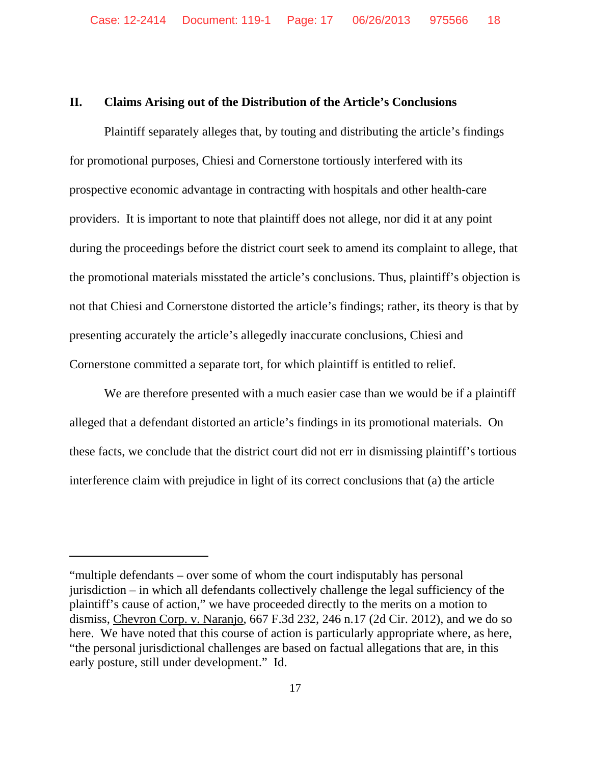## **II. Claims Arising out of the Distribution of the Article's Conclusions**

Plaintiff separately alleges that, by touting and distributing the article's findings for promotional purposes, Chiesi and Cornerstone tortiously interfered with its prospective economic advantage in contracting with hospitals and other health-care providers. It is important to note that plaintiff does not allege, nor did it at any point during the proceedings before the district court seek to amend its complaint to allege, that the promotional materials misstated the article's conclusions. Thus, plaintiff's objection is not that Chiesi and Cornerstone distorted the article's findings; rather, its theory is that by presenting accurately the article's allegedly inaccurate conclusions, Chiesi and Cornerstone committed a separate tort, for which plaintiff is entitled to relief.

We are therefore presented with a much easier case than we would be if a plaintiff alleged that a defendant distorted an article's findings in its promotional materials. On these facts, we conclude that the district court did not err in dismissing plaintiff's tortious interference claim with prejudice in light of its correct conclusions that (a) the article

<sup>&</sup>quot;multiple defendants – over some of whom the court indisputably has personal jurisdiction – in which all defendants collectively challenge the legal sufficiency of the plaintiff's cause of action," we have proceeded directly to the merits on a motion to dismiss, Chevron Corp. v. Naranjo, 667 F.3d 232, 246 n.17 (2d Cir. 2012), and we do so here. We have noted that this course of action is particularly appropriate where, as here, "the personal jurisdictional challenges are based on factual allegations that are, in this early posture, still under development." Id.